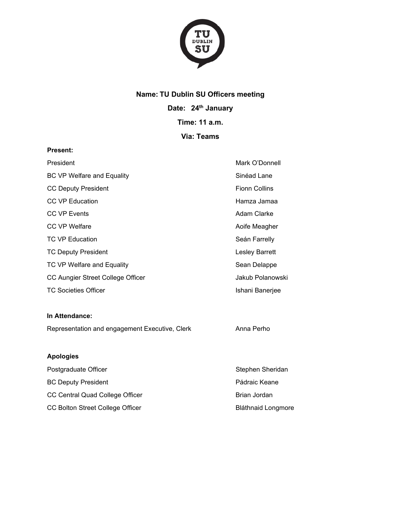

## **Name: TU Dublin SU Officers meeting**

**Date: 24th January**

**Time: 11 a.m.**

# **Via: Teams**

#### **Present:**

| President                         | Mark O'Donnell        |
|-----------------------------------|-----------------------|
| <b>BC VP Welfare and Equality</b> | Sinéad Lane           |
| <b>CC Deputy President</b>        | <b>Fionn Collins</b>  |
| <b>CC VP Education</b>            | Hamza Jamaa           |
| <b>CC VP Events</b>               | Adam Clarke           |
| CC VP Welfare                     | Aoife Meagher         |
| <b>TC VP Education</b>            | Seán Farrelly         |
| <b>TC Deputy President</b>        | <b>Lesley Barrett</b> |
| TC VP Welfare and Equality        | Sean Delappe          |
| CC Aungier Street College Officer | Jakub Polanowski      |
| <b>TC Societies Officer</b>       | Ishani Banerjee       |

#### **In Attendance:**

Representation and engagement Executive, Clerk Anna Perho

### **Apologies**

| Postgraduate Officer             | Stephen Sheridan          |
|----------------------------------|---------------------------|
| <b>BC Deputy President</b>       | Pádraic Keane             |
| CC Central Quad College Officer  | Brian Jordan              |
| CC Bolton Street College Officer | <b>Bláthnaid Longmore</b> |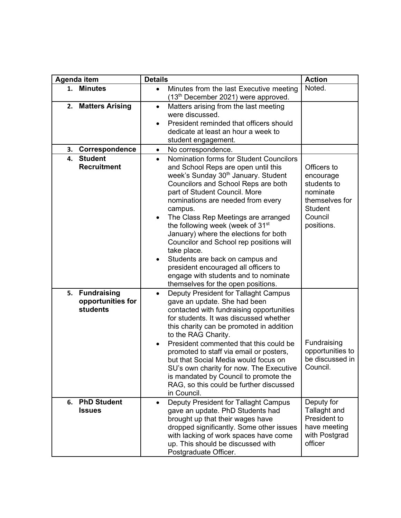| Agenda item                                                      | <b>Details</b>                                                                                                                                                                                                                                                                                                                                                                                                                                                                                                                                                                                                                         |                                                                                                                  |
|------------------------------------------------------------------|----------------------------------------------------------------------------------------------------------------------------------------------------------------------------------------------------------------------------------------------------------------------------------------------------------------------------------------------------------------------------------------------------------------------------------------------------------------------------------------------------------------------------------------------------------------------------------------------------------------------------------------|------------------------------------------------------------------------------------------------------------------|
| <b>Minutes</b><br>1.                                             | Minutes from the last Executive meeting<br>$\bullet$<br>(13 <sup>th</sup> December 2021) were approved.                                                                                                                                                                                                                                                                                                                                                                                                                                                                                                                                | Noted.                                                                                                           |
| <b>Matters Arising</b><br>2.                                     | Matters arising from the last meeting<br>$\bullet$<br>were discussed.<br>President reminded that officers should<br>dedicate at least an hour a week to<br>student engagement.                                                                                                                                                                                                                                                                                                                                                                                                                                                         |                                                                                                                  |
| Correspondence<br>3.                                             | No correspondence.<br>$\bullet$                                                                                                                                                                                                                                                                                                                                                                                                                                                                                                                                                                                                        |                                                                                                                  |
| <b>Student</b><br>4.<br><b>Recruitment</b>                       | Nomination forms for Student Councilors<br>$\bullet$<br>and School Reps are open until this<br>week's Sunday 30 <sup>th</sup> January. Student<br>Councilors and School Reps are both<br>part of Student Council. More<br>nominations are needed from every<br>campus.<br>The Class Rep Meetings are arranged<br>the following week (week of 31 <sup>st</sup><br>January) where the elections for both<br>Councilor and School rep positions will<br>take place.<br>Students are back on campus and<br>$\bullet$<br>president encouraged all officers to<br>engage with students and to nominate<br>themselves for the open positions. | Officers to<br>encourage<br>students to<br>nominate<br>themselves for<br><b>Student</b><br>Council<br>positions. |
| <b>Fundraising</b><br>5.<br>opportunities for<br><b>students</b> | Deputy President for Tallaght Campus<br>$\bullet$<br>gave an update. She had been<br>contacted with fundraising opportunities<br>for students. It was discussed whether<br>this charity can be promoted in addition<br>to the RAG Charity.<br>President commented that this could be<br>promoted to staff via email or posters,<br>but that Social Media would focus on<br>SU's own charity for now. The Executive<br>is mandated by Council to promote the<br>RAG, so this could be further discussed<br>in Council.                                                                                                                  | Fundraising<br>opportunities to<br>be discussed in<br>Council.                                                   |
| <b>PhD Student</b><br>6.<br><b>Issues</b>                        | Deputy President for Tallaght Campus<br>gave an update. PhD Students had<br>brought up that their wages have<br>dropped significantly. Some other issues<br>with lacking of work spaces have come<br>up. This should be discussed with<br>Postgraduate Officer.                                                                                                                                                                                                                                                                                                                                                                        | Deputy for<br>Tallaght and<br>President to<br>have meeting<br>with Postgrad<br>officer                           |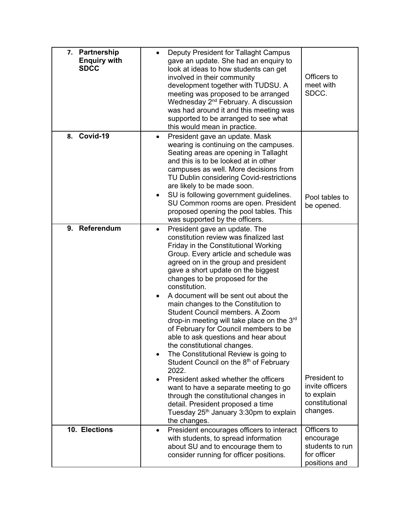| 7. Partnership<br><b>Enquiry with</b><br><b>SDCC</b> |                        | Deputy President for Tallaght Campus<br>gave an update. She had an enquiry to<br>look at ideas to how students can get<br>involved in their community<br>development together with TUDSU. A<br>meeting was proposed to be arranged<br>Wednesday 2 <sup>nd</sup> February. A discussion<br>was had around it and this meeting was<br>supported to be arranged to see what<br>this would mean in practice.                                                                                                                                                                                                                                                                                                                                                                                                       | Officers to<br>meet with<br>SDCC.                                           |
|------------------------------------------------------|------------------------|----------------------------------------------------------------------------------------------------------------------------------------------------------------------------------------------------------------------------------------------------------------------------------------------------------------------------------------------------------------------------------------------------------------------------------------------------------------------------------------------------------------------------------------------------------------------------------------------------------------------------------------------------------------------------------------------------------------------------------------------------------------------------------------------------------------|-----------------------------------------------------------------------------|
| Covid-19<br>8.                                       | ٠                      | President gave an update. Mask<br>wearing is continuing on the campuses.<br>Seating areas are opening in Tallaght<br>and this is to be looked at in other<br>campuses as well. More decisions from<br>TU Dublin considering Covid-restrictions<br>are likely to be made soon.<br>SU is following government guidelines.<br>SU Common rooms are open. President<br>proposed opening the pool tables. This<br>was supported by the officers.                                                                                                                                                                                                                                                                                                                                                                     | Pool tables to<br>be opened.                                                |
| 9. Referendum                                        | $\bullet$<br>$\bullet$ | President gave an update. The<br>constitution review was finalized last<br>Friday in the Constitutional Working<br>Group. Every article and schedule was<br>agreed on in the group and president<br>gave a short update on the biggest<br>changes to be proposed for the<br>constitution.<br>A document will be sent out about the<br>main changes to the Constitution to<br>Student Council members. A Zoom<br>drop-in meeting will take place on the $3rd$<br>of February for Council members to be<br>able to ask questions and hear about<br>the constitutional changes.<br>The Constitutional Review is going to<br>Student Council on the 8 <sup>th</sup> of February<br>2022.<br>President asked whether the officers<br>want to have a separate meeting to go<br>through the constitutional changes in | President to<br>invite officers<br>to explain                               |
|                                                      |                        | detail. President proposed a time<br>Tuesday 25 <sup>th</sup> January 3:30pm to explain<br>the changes.                                                                                                                                                                                                                                                                                                                                                                                                                                                                                                                                                                                                                                                                                                        | constitutional<br>changes.                                                  |
| 10. Elections                                        | $\bullet$              | President encourages officers to interact<br>with students, to spread information<br>about SU and to encourage them to<br>consider running for officer positions.                                                                                                                                                                                                                                                                                                                                                                                                                                                                                                                                                                                                                                              | Officers to<br>encourage<br>students to run<br>for officer<br>positions and |